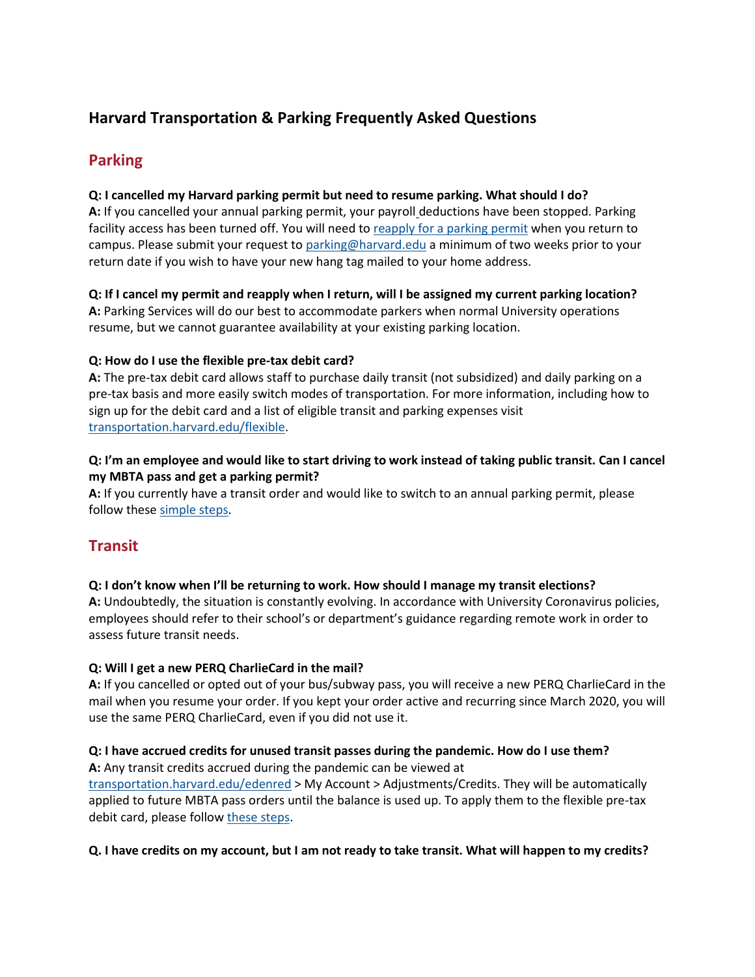## **Harvard Transportation & Parking Frequently Asked Questions**

## **Parking**

#### **Q: I cancelled my Harvard parking permit but need to resume parking. What should I do?**

**A:** If you cancelled your annual parking permit, your payroll deductions have been stopped. Parking facility access has been turned off. You will need to [reapply for a parking permit](https://www.transportation.harvard.edu/sites/default/files/FY22-parking-application.pdf) when you return to campus. Please submit your request to [parking@harvard.edu](mailto:parking@harvard.edu) a minimum of two weeks prior to your return date if you wish to have your new hang tag mailed to your home address.

# **Q: If I cancel my permit and reapply when I return, will I be assigned my current parking location?**

**A:** Parking Services will do our best to accommodate parkers when normal University operations resume, but we cannot guarantee availability at your existing parking location.

#### **Q: How do I use the flexible pre-tax debit card?**

**A:** The pre-tax debit card allows staff to purchase daily transit (not subsidized) and daily parking on a pre-tax basis and more easily switch modes of transportation. For more information, including how to sign up for the debit card and a list of eligible transit and parking expenses visit [transportation.harvard.edu/flexible.](https://www.transportation.harvard.edu/flexible)

#### **Q: I'm an employee and would like to start driving to work instead of taking public transit. Can I cancel my MBTA pass and get a parking permit?**

**A:** If you currently have a transit order and would like to switch to an annual parking permit, please follow these [simple steps.](https://www.transportation.harvard.edu/sites/default/files/Switching%20from%20MBTA%20to%20Parking%20Tutorial.pdf)

## **Transit**

#### **Q: I don't know when I'll be returning to work. How should I manage my transit elections?**

**A:** Undoubtedly, the situation is constantly evolving. In accordance with University Coronavirus policies, employees should refer to their school's or department's guidance regarding remote work in order to assess future transit needs.

#### **Q: Will I get a new PERQ CharlieCard in the mail?**

**A:** If you cancelled or opted out of your bus/subway pass, you will receive a new PERQ CharlieCard in the mail when you resume your order. If you kept your order active and recurring since March 2020, you will use the same PERQ CharlieCard, even if you did not use it.

#### **Q: I have accrued credits for unused transit passes during the pandemic. How do I use them?**

**A:** Any transit credits accrued during the pandemic can be viewed at <transportation.harvard.edu/edenred> > My Account > Adjustments/Credits. They will be automatically applied to future MBTA pass orders until the balance is used up. To apply them to the flexible pre-tax debit card, please follow [these steps.](https://www.transportation.harvard.edu/sites/default/files/How%20to%20Take%20Advantage%20of%20Transit%20and%20Parking%20Flex%20Feature.pdf)

#### **Q. I have credits on my account, but I am not ready to take transit. What will happen to my credits?**